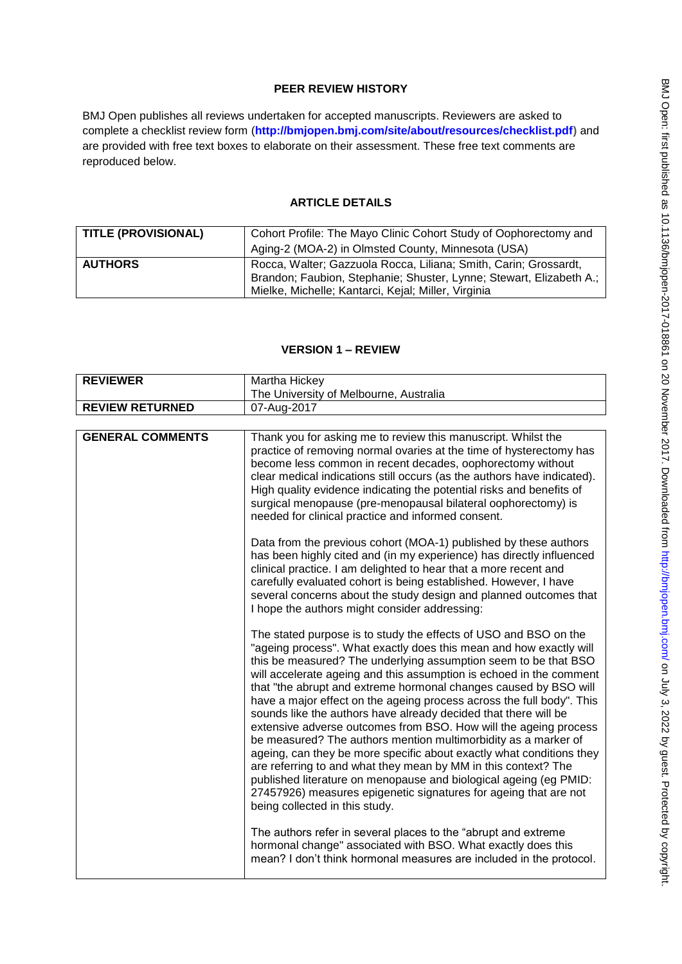## **PEER REVIEW HISTORY**

BMJ Open publishes all reviews undertaken for accepted manuscripts. Reviewers are asked to complete a checklist review form (**[http://bmjopen.bmj.com/site/about/resources/checklist.pdf\)](http://bmjopen.bmj.com/site/about/resources/checklist.pdf)** and are provided with free text boxes to elaborate on their assessment. These free text comments are reproduced below.

### **ARTICLE DETAILS**

| <b>TITLE (PROVISIONAL)</b> | Cohort Profile: The Mayo Clinic Cohort Study of Oophorectomy and<br>Aging-2 (MOA-2) in Olmsted County, Minnesota (USA)                                                                         |
|----------------------------|------------------------------------------------------------------------------------------------------------------------------------------------------------------------------------------------|
| <b>AUTHORS</b>             | Rocca, Walter; Gazzuola Rocca, Liliana; Smith, Carin; Grossardt,<br>Brandon; Faubion, Stephanie; Shuster, Lynne; Stewart, Elizabeth A.;<br>Mielke, Michelle; Kantarci, Kejal; Miller, Virginia |

## **VERSION 1 – REVIEW**

| <b>REVIEWER</b>         | Martha Hickey                                                                                                                                                                                                                                                                                                                                                                                                                                                                                                                                                                                                                                                                                                                                                                                                                                                                                                                                               |  |
|-------------------------|-------------------------------------------------------------------------------------------------------------------------------------------------------------------------------------------------------------------------------------------------------------------------------------------------------------------------------------------------------------------------------------------------------------------------------------------------------------------------------------------------------------------------------------------------------------------------------------------------------------------------------------------------------------------------------------------------------------------------------------------------------------------------------------------------------------------------------------------------------------------------------------------------------------------------------------------------------------|--|
|                         | The University of Melbourne, Australia                                                                                                                                                                                                                                                                                                                                                                                                                                                                                                                                                                                                                                                                                                                                                                                                                                                                                                                      |  |
| <b>REVIEW RETURNED</b>  | 07-Aug-2017                                                                                                                                                                                                                                                                                                                                                                                                                                                                                                                                                                                                                                                                                                                                                                                                                                                                                                                                                 |  |
|                         |                                                                                                                                                                                                                                                                                                                                                                                                                                                                                                                                                                                                                                                                                                                                                                                                                                                                                                                                                             |  |
| <b>GENERAL COMMENTS</b> | Thank you for asking me to review this manuscript. Whilst the<br>practice of removing normal ovaries at the time of hysterectomy has<br>become less common in recent decades, oophorectomy without<br>clear medical indications still occurs (as the authors have indicated).<br>High quality evidence indicating the potential risks and benefits of<br>surgical menopause (pre-menopausal bilateral oophorectomy) is<br>needed for clinical practice and informed consent.                                                                                                                                                                                                                                                                                                                                                                                                                                                                                |  |
|                         | Data from the previous cohort (MOA-1) published by these authors<br>has been highly cited and (in my experience) has directly influenced<br>clinical practice. I am delighted to hear that a more recent and<br>carefully evaluated cohort is being established. However, I have<br>several concerns about the study design and planned outcomes that<br>I hope the authors might consider addressing:                                                                                                                                                                                                                                                                                                                                                                                                                                                                                                                                                      |  |
|                         | The stated purpose is to study the effects of USO and BSO on the<br>"ageing process". What exactly does this mean and how exactly will<br>this be measured? The underlying assumption seem to be that BSO<br>will accelerate ageing and this assumption is echoed in the comment<br>that "the abrupt and extreme hormonal changes caused by BSO will<br>have a major effect on the ageing process across the full body". This<br>sounds like the authors have already decided that there will be<br>extensive adverse outcomes from BSO. How will the ageing process<br>be measured? The authors mention multimorbidity as a marker of<br>ageing, can they be more specific about exactly what conditions they<br>are referring to and what they mean by MM in this context? The<br>published literature on menopause and biological ageing (eg PMID:<br>27457926) measures epigenetic signatures for ageing that are not<br>being collected in this study. |  |
|                         | The authors refer in several places to the "abrupt and extreme"<br>hormonal change" associated with BSO. What exactly does this<br>mean? I don't think hormonal measures are included in the protocol.                                                                                                                                                                                                                                                                                                                                                                                                                                                                                                                                                                                                                                                                                                                                                      |  |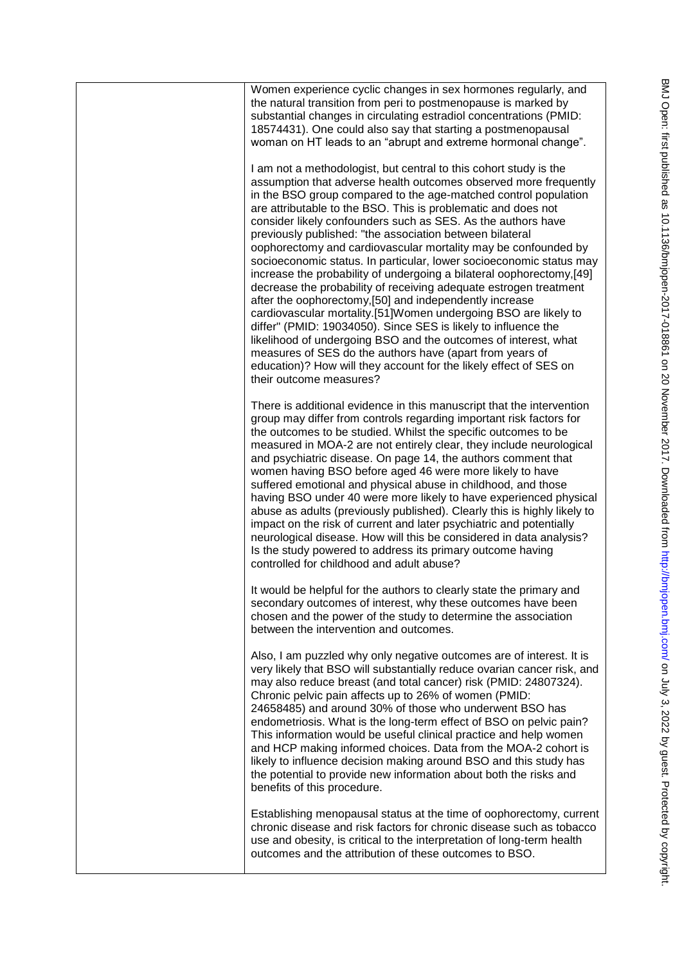| Women experience cyclic changes in sex hormones regularly, and<br>the natural transition from peri to postmenopause is marked by<br>substantial changes in circulating estradiol concentrations (PMID:<br>18574431). One could also say that starting a postmenopausal<br>woman on HT leads to an "abrupt and extreme hormonal change".                                                                                                                                                                                                                                                                                                                                                                                                                                                                                                                                                                                                                                                                                                                                                                                    |
|----------------------------------------------------------------------------------------------------------------------------------------------------------------------------------------------------------------------------------------------------------------------------------------------------------------------------------------------------------------------------------------------------------------------------------------------------------------------------------------------------------------------------------------------------------------------------------------------------------------------------------------------------------------------------------------------------------------------------------------------------------------------------------------------------------------------------------------------------------------------------------------------------------------------------------------------------------------------------------------------------------------------------------------------------------------------------------------------------------------------------|
| I am not a methodologist, but central to this cohort study is the<br>assumption that adverse health outcomes observed more frequently<br>in the BSO group compared to the age-matched control population<br>are attributable to the BSO. This is problematic and does not<br>consider likely confounders such as SES. As the authors have<br>previously published: "the association between bilateral<br>oophorectomy and cardiovascular mortality may be confounded by<br>socioeconomic status. In particular, lower socioeconomic status may<br>increase the probability of undergoing a bilateral oophorectomy,[49]<br>decrease the probability of receiving adequate estrogen treatment<br>after the oophorectomy,[50] and independently increase<br>cardiovascular mortality.[51] Women undergoing BSO are likely to<br>differ" (PMID: 19034050). Since SES is likely to influence the<br>likelihood of undergoing BSO and the outcomes of interest, what<br>measures of SES do the authors have (apart from years of<br>education)? How will they account for the likely effect of SES on<br>their outcome measures? |
| There is additional evidence in this manuscript that the intervention<br>group may differ from controls regarding important risk factors for<br>the outcomes to be studied. Whilst the specific outcomes to be<br>measured in MOA-2 are not entirely clear, they include neurological<br>and psychiatric disease. On page 14, the authors comment that<br>women having BSO before aged 46 were more likely to have<br>suffered emotional and physical abuse in childhood, and those<br>having BSO under 40 were more likely to have experienced physical<br>abuse as adults (previously published). Clearly this is highly likely to<br>impact on the risk of current and later psychiatric and potentially<br>neurological disease. How will this be considered in data analysis?<br>Is the study powered to address its primary outcome having<br>controlled for childhood and adult abuse?                                                                                                                                                                                                                              |
| It would be helpful for the authors to clearly state the primary and<br>secondary outcomes of interest, why these outcomes have been<br>chosen and the power of the study to determine the association<br>between the intervention and outcomes.                                                                                                                                                                                                                                                                                                                                                                                                                                                                                                                                                                                                                                                                                                                                                                                                                                                                           |
| Also, I am puzzled why only negative outcomes are of interest. It is<br>very likely that BSO will substantially reduce ovarian cancer risk, and<br>may also reduce breast (and total cancer) risk (PMID: 24807324).<br>Chronic pelvic pain affects up to 26% of women (PMID:<br>24658485) and around 30% of those who underwent BSO has<br>endometriosis. What is the long-term effect of BSO on pelvic pain?<br>This information would be useful clinical practice and help women<br>and HCP making informed choices. Data from the MOA-2 cohort is<br>likely to influence decision making around BSO and this study has<br>the potential to provide new information about both the risks and<br>benefits of this procedure.                                                                                                                                                                                                                                                                                                                                                                                              |
| Establishing menopausal status at the time of oophorectomy, current<br>chronic disease and risk factors for chronic disease such as tobacco<br>use and obesity, is critical to the interpretation of long-term health<br>outcomes and the attribution of these outcomes to BSO.                                                                                                                                                                                                                                                                                                                                                                                                                                                                                                                                                                                                                                                                                                                                                                                                                                            |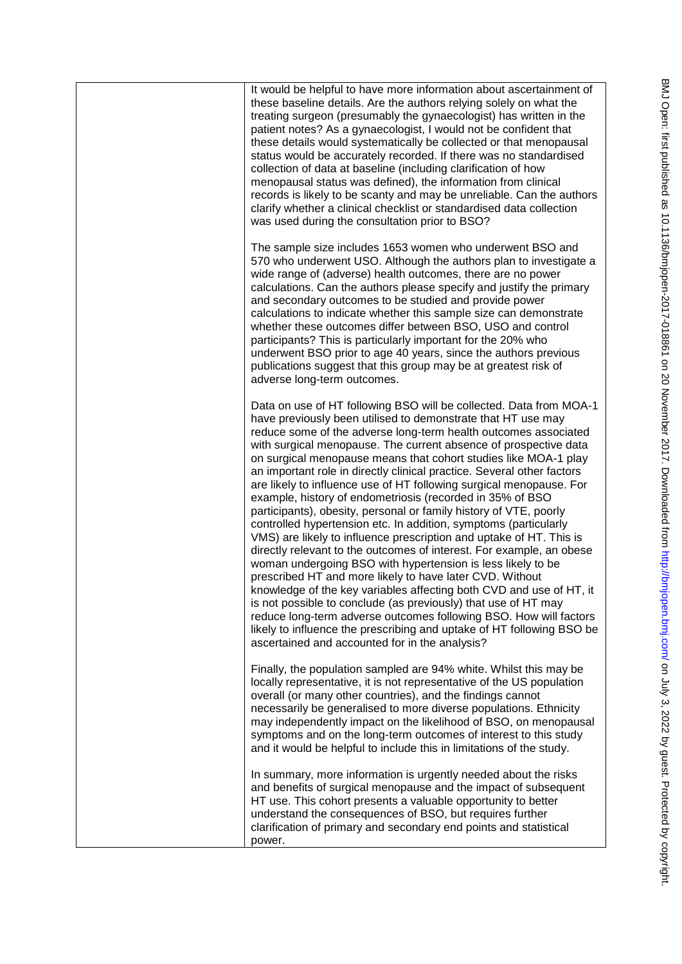| It would be helpful to have more information about ascertainment of<br>these baseline details. Are the authors relying solely on what the<br>treating surgeon (presumably the gynaecologist) has written in the<br>patient notes? As a gynaecologist, I would not be confident that<br>these details would systematically be collected or that menopausal<br>status would be accurately recorded. If there was no standardised<br>collection of data at baseline (including clarification of how<br>menopausal status was defined), the information from clinical<br>records is likely to be scanty and may be unreliable. Can the authors<br>clarify whether a clinical checklist or standardised data collection<br>was used during the consultation prior to BSO?                                                                                                                                                                                                                                                                                                                                                                                                                                                                                                                                                   |
|------------------------------------------------------------------------------------------------------------------------------------------------------------------------------------------------------------------------------------------------------------------------------------------------------------------------------------------------------------------------------------------------------------------------------------------------------------------------------------------------------------------------------------------------------------------------------------------------------------------------------------------------------------------------------------------------------------------------------------------------------------------------------------------------------------------------------------------------------------------------------------------------------------------------------------------------------------------------------------------------------------------------------------------------------------------------------------------------------------------------------------------------------------------------------------------------------------------------------------------------------------------------------------------------------------------------|
| The sample size includes 1653 women who underwent BSO and<br>570 who underwent USO. Although the authors plan to investigate a<br>wide range of (adverse) health outcomes, there are no power<br>calculations. Can the authors please specify and justify the primary<br>and secondary outcomes to be studied and provide power<br>calculations to indicate whether this sample size can demonstrate<br>whether these outcomes differ between BSO, USO and control<br>participants? This is particularly important for the 20% who<br>underwent BSO prior to age 40 years, since the authors previous<br>publications suggest that this group may be at greatest risk of<br>adverse long-term outcomes.                                                                                                                                                                                                                                                                                                                                                                                                                                                                                                                                                                                                                |
| Data on use of HT following BSO will be collected. Data from MOA-1<br>have previously been utilised to demonstrate that HT use may<br>reduce some of the adverse long-term health outcomes associated<br>with surgical menopause. The current absence of prospective data<br>on surgical menopause means that cohort studies like MOA-1 play<br>an important role in directly clinical practice. Several other factors<br>are likely to influence use of HT following surgical menopause. For<br>example, history of endometriosis (recorded in 35% of BSO<br>participants), obesity, personal or family history of VTE, poorly<br>controlled hypertension etc. In addition, symptoms (particularly<br>VMS) are likely to influence prescription and uptake of HT. This is<br>directly relevant to the outcomes of interest. For example, an obese<br>woman undergoing BSO with hypertension is less likely to be<br>prescribed HT and more likely to have later CVD. Without<br>knowledge of the key variables affecting both CVD and use of HT, it<br>is not possible to conclude (as previously) that use of HT may<br>reduce long-term adverse outcomes following BSO. How will factors<br>likely to influence the prescribing and uptake of HT following BSO be<br>ascertained and accounted for in the analysis? |
| Finally, the population sampled are 94% white. Whilst this may be<br>locally representative, it is not representative of the US population<br>overall (or many other countries), and the findings cannot<br>necessarily be generalised to more diverse populations. Ethnicity<br>may independently impact on the likelihood of BSO, on menopausal<br>symptoms and on the long-term outcomes of interest to this study<br>and it would be helpful to include this in limitations of the study.                                                                                                                                                                                                                                                                                                                                                                                                                                                                                                                                                                                                                                                                                                                                                                                                                          |
| In summary, more information is urgently needed about the risks<br>and benefits of surgical menopause and the impact of subsequent<br>HT use. This cohort presents a valuable opportunity to better<br>understand the consequences of BSO, but requires further<br>clarification of primary and secondary end points and statistical<br>power.                                                                                                                                                                                                                                                                                                                                                                                                                                                                                                                                                                                                                                                                                                                                                                                                                                                                                                                                                                         |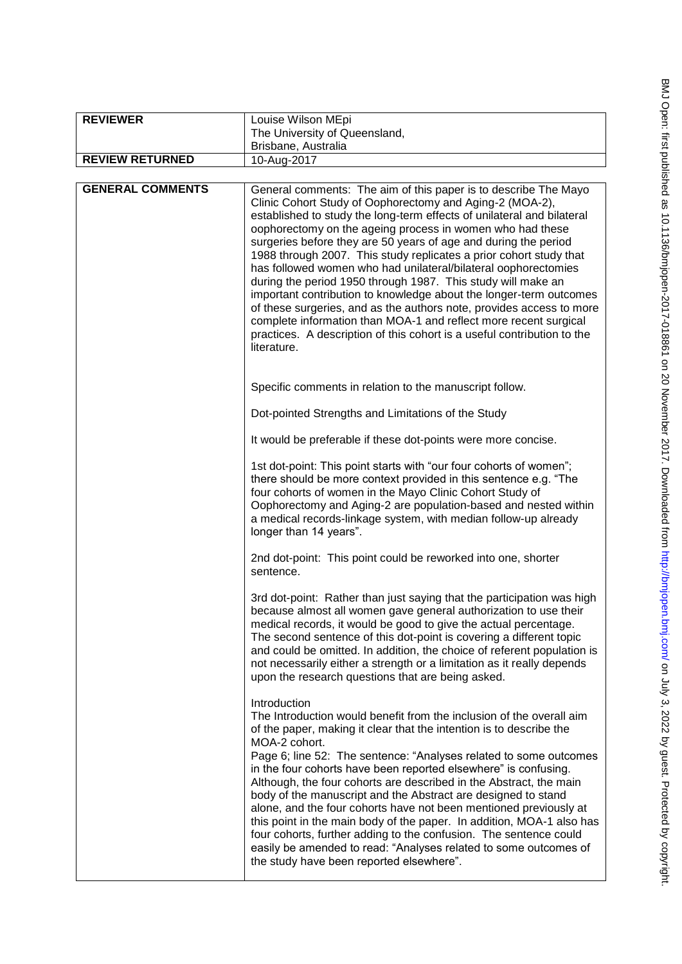| <b>REVIEWER</b>         | Louise Wilson MEpi                                                                                                                                                                                                                                                                                                                                                                                                                                                                                                                                                                                                                                                                                                                                                                                                                                        |
|-------------------------|-----------------------------------------------------------------------------------------------------------------------------------------------------------------------------------------------------------------------------------------------------------------------------------------------------------------------------------------------------------------------------------------------------------------------------------------------------------------------------------------------------------------------------------------------------------------------------------------------------------------------------------------------------------------------------------------------------------------------------------------------------------------------------------------------------------------------------------------------------------|
|                         | The University of Queensland,                                                                                                                                                                                                                                                                                                                                                                                                                                                                                                                                                                                                                                                                                                                                                                                                                             |
|                         | Brisbane, Australia                                                                                                                                                                                                                                                                                                                                                                                                                                                                                                                                                                                                                                                                                                                                                                                                                                       |
| <b>REVIEW RETURNED</b>  | 10-Aug-2017                                                                                                                                                                                                                                                                                                                                                                                                                                                                                                                                                                                                                                                                                                                                                                                                                                               |
|                         |                                                                                                                                                                                                                                                                                                                                                                                                                                                                                                                                                                                                                                                                                                                                                                                                                                                           |
| <b>GENERAL COMMENTS</b> | General comments: The aim of this paper is to describe The Mayo<br>Clinic Cohort Study of Oophorectomy and Aging-2 (MOA-2),<br>established to study the long-term effects of unilateral and bilateral<br>oophorectomy on the ageing process in women who had these<br>surgeries before they are 50 years of age and during the period<br>1988 through 2007. This study replicates a prior cohort study that<br>has followed women who had unilateral/bilateral oophorectomies<br>during the period 1950 through 1987. This study will make an<br>important contribution to knowledge about the longer-term outcomes<br>of these surgeries, and as the authors note, provides access to more<br>complete information than MOA-1 and reflect more recent surgical<br>practices. A description of this cohort is a useful contribution to the<br>literature. |
|                         | Specific comments in relation to the manuscript follow.                                                                                                                                                                                                                                                                                                                                                                                                                                                                                                                                                                                                                                                                                                                                                                                                   |
|                         | Dot-pointed Strengths and Limitations of the Study                                                                                                                                                                                                                                                                                                                                                                                                                                                                                                                                                                                                                                                                                                                                                                                                        |
|                         | It would be preferable if these dot-points were more concise.                                                                                                                                                                                                                                                                                                                                                                                                                                                                                                                                                                                                                                                                                                                                                                                             |
|                         | 1st dot-point: This point starts with "our four cohorts of women";<br>there should be more context provided in this sentence e.g. "The<br>four cohorts of women in the Mayo Clinic Cohort Study of<br>Oophorectomy and Aging-2 are population-based and nested within<br>a medical records-linkage system, with median follow-up already<br>longer than 14 years".                                                                                                                                                                                                                                                                                                                                                                                                                                                                                        |
|                         | 2nd dot-point: This point could be reworked into one, shorter<br>sentence.                                                                                                                                                                                                                                                                                                                                                                                                                                                                                                                                                                                                                                                                                                                                                                                |
|                         | 3rd dot-point: Rather than just saying that the participation was high<br>because almost all women gave general authorization to use their<br>medical records, it would be good to give the actual percentage.<br>The second sentence of this dot-point is covering a different topic<br>and could be omitted. In addition, the choice of referent population is<br>not necessarily either a strength or a limitation as it really depends<br>upon the research questions that are being asked.                                                                                                                                                                                                                                                                                                                                                           |
|                         | Introduction<br>The Introduction would benefit from the inclusion of the overall aim<br>of the paper, making it clear that the intention is to describe the<br>MOA-2 cohort.<br>Page 6; line 52: The sentence: "Analyses related to some outcomes<br>in the four cohorts have been reported elsewhere" is confusing.<br>Although, the four cohorts are described in the Abstract, the main<br>body of the manuscript and the Abstract are designed to stand<br>alone, and the four cohorts have not been mentioned previously at<br>this point in the main body of the paper. In addition, MOA-1 also has<br>four cohorts, further adding to the confusion. The sentence could<br>easily be amended to read: "Analyses related to some outcomes of<br>the study have been reported elsewhere".                                                            |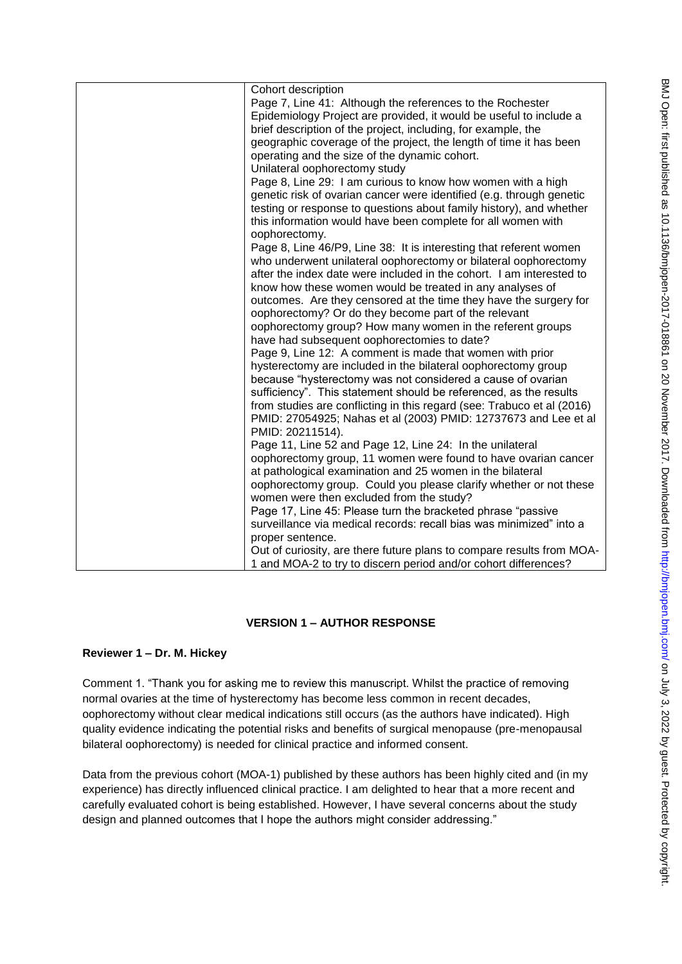| Cohort description                                                     |
|------------------------------------------------------------------------|
| Page 7, Line 41: Although the references to the Rochester              |
| Epidemiology Project are provided, it would be useful to include a     |
| brief description of the project, including, for example, the          |
| geographic coverage of the project, the length of time it has been     |
| operating and the size of the dynamic cohort.                          |
| Unilateral oophorectomy study                                          |
| Page 8, Line 29: I am curious to know how women with a high            |
| genetic risk of ovarian cancer were identified (e.g. through genetic   |
| testing or response to questions about family history), and whether    |
| this information would have been complete for all women with           |
| oophorectomy.                                                          |
| Page 8, Line 46/P9, Line 38: It is interesting that referent women     |
| who underwent unilateral oophorectomy or bilateral oophorectomy        |
| after the index date were included in the cohort. I am interested to   |
| know how these women would be treated in any analyses of               |
| outcomes. Are they censored at the time they have the surgery for      |
| oophorectomy? Or do they become part of the relevant                   |
| oophorectomy group? How many women in the referent groups              |
| have had subsequent oophorectomies to date?                            |
| Page 9, Line 12: A comment is made that women with prior               |
| hysterectomy are included in the bilateral oophorectomy group          |
| because "hysterectomy was not considered a cause of ovarian            |
| sufficiency". This statement should be referenced, as the results      |
| from studies are conflicting in this regard (see: Trabuco et al (2016) |
| PMID: 27054925; Nahas et al (2003) PMID: 12737673 and Lee et al        |
| PMID: 20211514).                                                       |
| Page 11, Line 52 and Page 12, Line 24: In the unilateral               |
| oophorectomy group, 11 women were found to have ovarian cancer         |
| at pathological examination and 25 women in the bilateral              |
| oophorectomy group. Could you please clarify whether or not these      |
| women were then excluded from the study?                               |
| Page 17, Line 45: Please turn the bracketed phrase "passive            |
| surveillance via medical records: recall bias was minimized" into a    |
| proper sentence.                                                       |
| Out of curiosity, are there future plans to compare results from MOA-  |
| 1 and MOA-2 to try to discern period and/or cohort differences?        |
|                                                                        |

# **VERSION 1 – AUTHOR RESPONSE**

## **Reviewer 1 – Dr. M. Hickey**

Comment 1. "Thank you for asking me to review this manuscript. Whilst the practice of removing normal ovaries at the time of hysterectomy has become less common in recent decades, oophorectomy without clear medical indications still occurs (as the authors have indicated). High quality evidence indicating the potential risks and benefits of surgical menopause (pre-menopausal bilateral oophorectomy) is needed for clinical practice and informed consent.

Data from the previous cohort (MOA-1) published by these authors has been highly cited and (in my experience) has directly influenced clinical practice. I am delighted to hear that a more recent and carefully evaluated cohort is being established. However, I have several concerns about the study design and planned outcomes that I hope the authors might consider addressing."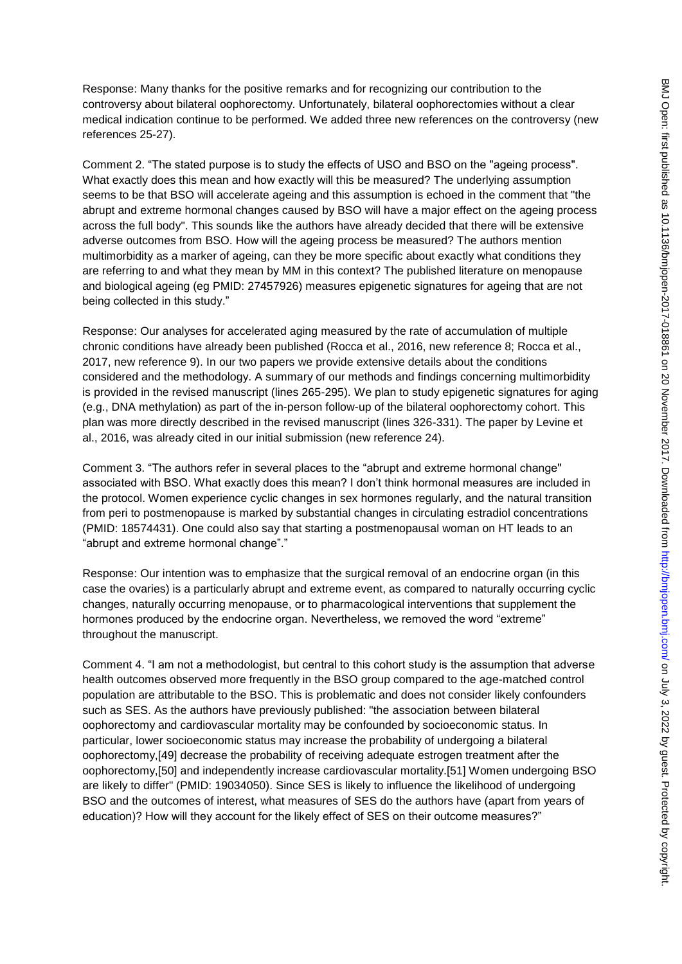Response: Many thanks for the positive remarks and for recognizing our contribution to the controversy about bilateral oophorectomy. Unfortunately, bilateral oophorectomies without a clear medical indication continue to be performed. We added three new references on the controversy (new references 25-27).

Comment 2. "The stated purpose is to study the effects of USO and BSO on the "ageing process". What exactly does this mean and how exactly will this be measured? The underlying assumption seems to be that BSO will accelerate ageing and this assumption is echoed in the comment that "the abrupt and extreme hormonal changes caused by BSO will have a major effect on the ageing process across the full body". This sounds like the authors have already decided that there will be extensive adverse outcomes from BSO. How will the ageing process be measured? The authors mention multimorbidity as a marker of ageing, can they be more specific about exactly what conditions they are referring to and what they mean by MM in this context? The published literature on menopause and biological ageing (eg PMID: 27457926) measures epigenetic signatures for ageing that are not being collected in this study."

Response: Our analyses for accelerated aging measured by the rate of accumulation of multiple chronic conditions have already been published (Rocca et al., 2016, new reference 8; Rocca et al., 2017, new reference 9). In our two papers we provide extensive details about the conditions considered and the methodology. A summary of our methods and findings concerning multimorbidity is provided in the revised manuscript (lines 265-295). We plan to study epigenetic signatures for aging (e.g., DNA methylation) as part of the in-person follow-up of the bilateral oophorectomy cohort. This plan was more directly described in the revised manuscript (lines 326-331). The paper by Levine et al., 2016, was already cited in our initial submission (new reference 24).

Comment 3. "The authors refer in several places to the "abrupt and extreme hormonal change" associated with BSO. What exactly does this mean? I don't think hormonal measures are included in the protocol. Women experience cyclic changes in sex hormones regularly, and the natural transition from peri to postmenopause is marked by substantial changes in circulating estradiol concentrations (PMID: 18574431). One could also say that starting a postmenopausal woman on HT leads to an "abrupt and extreme hormonal change"."

Response: Our intention was to emphasize that the surgical removal of an endocrine organ (in this case the ovaries) is a particularly abrupt and extreme event, as compared to naturally occurring cyclic changes, naturally occurring menopause, or to pharmacological interventions that supplement the hormones produced by the endocrine organ. Nevertheless, we removed the word "extreme" throughout the manuscript.

Comment 4. "I am not a methodologist, but central to this cohort study is the assumption that adverse health outcomes observed more frequently in the BSO group compared to the age-matched control population are attributable to the BSO. This is problematic and does not consider likely confounders such as SES. As the authors have previously published: "the association between bilateral oophorectomy and cardiovascular mortality may be confounded by socioeconomic status. In particular, lower socioeconomic status may increase the probability of undergoing a bilateral oophorectomy,[49] decrease the probability of receiving adequate estrogen treatment after the oophorectomy,[50] and independently increase cardiovascular mortality.[51] Women undergoing BSO are likely to differ" (PMID: 19034050). Since SES is likely to influence the likelihood of undergoing BSO and the outcomes of interest, what measures of SES do the authors have (apart from years of education)? How will they account for the likely effect of SES on their outcome measures?"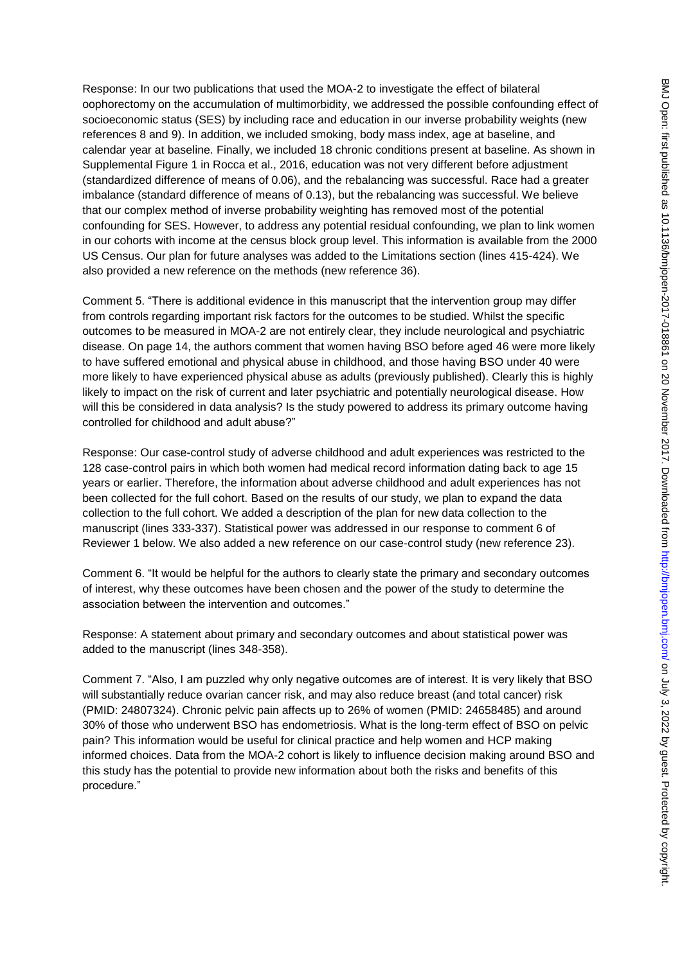Response: In our two publications that used the MOA-2 to investigate the effect of bilateral oophorectomy on the accumulation of multimorbidity, we addressed the possible confounding effect of socioeconomic status (SES) by including race and education in our inverse probability weights (new references 8 and 9). In addition, we included smoking, body mass index, age at baseline, and calendar year at baseline. Finally, we included 18 chronic conditions present at baseline. As shown in Supplemental Figure 1 in Rocca et al., 2016, education was not very different before adjustment (standardized difference of means of 0.06), and the rebalancing was successful. Race had a greater imbalance (standard difference of means of 0.13), but the rebalancing was successful. We believe that our complex method of inverse probability weighting has removed most of the potential confounding for SES. However, to address any potential residual confounding, we plan to link women in our cohorts with income at the census block group level. This information is available from the 2000 US Census. Our plan for future analyses was added to the Limitations section (lines 415-424). We also provided a new reference on the methods (new reference 36).

Comment 5. "There is additional evidence in this manuscript that the intervention group may differ from controls regarding important risk factors for the outcomes to be studied. Whilst the specific outcomes to be measured in MOA-2 are not entirely clear, they include neurological and psychiatric disease. On page 14, the authors comment that women having BSO before aged 46 were more likely to have suffered emotional and physical abuse in childhood, and those having BSO under 40 were more likely to have experienced physical abuse as adults (previously published). Clearly this is highly likely to impact on the risk of current and later psychiatric and potentially neurological disease. How will this be considered in data analysis? Is the study powered to address its primary outcome having controlled for childhood and adult abuse?"

Response: Our case-control study of adverse childhood and adult experiences was restricted to the 128 case-control pairs in which both women had medical record information dating back to age 15 years or earlier. Therefore, the information about adverse childhood and adult experiences has not been collected for the full cohort. Based on the results of our study, we plan to expand the data collection to the full cohort. We added a description of the plan for new data collection to the manuscript (lines 333-337). Statistical power was addressed in our response to comment 6 of Reviewer 1 below. We also added a new reference on our case-control study (new reference 23).

Comment 6. "It would be helpful for the authors to clearly state the primary and secondary outcomes of interest, why these outcomes have been chosen and the power of the study to determine the association between the intervention and outcomes."

Response: A statement about primary and secondary outcomes and about statistical power was added to the manuscript (lines 348-358).

Comment 7. "Also, I am puzzled why only negative outcomes are of interest. It is very likely that BSO will substantially reduce ovarian cancer risk, and may also reduce breast (and total cancer) risk (PMID: 24807324). Chronic pelvic pain affects up to 26% of women (PMID: 24658485) and around 30% of those who underwent BSO has endometriosis. What is the long-term effect of BSO on pelvic pain? This information would be useful for clinical practice and help women and HCP making informed choices. Data from the MOA-2 cohort is likely to influence decision making around BSO and this study has the potential to provide new information about both the risks and benefits of this procedure."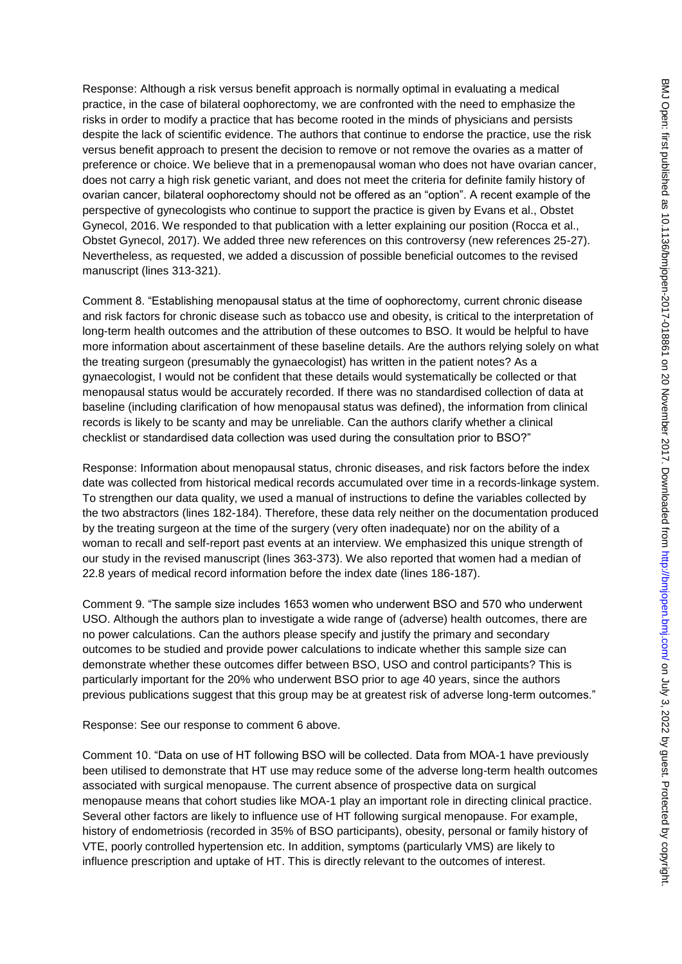Response: Although a risk versus benefit approach is normally optimal in evaluating a medical practice, in the case of bilateral oophorectomy, we are confronted with the need to emphasize the risks in order to modify a practice that has become rooted in the minds of physicians and persists despite the lack of scientific evidence. The authors that continue to endorse the practice, use the risk versus benefit approach to present the decision to remove or not remove the ovaries as a matter of preference or choice. We believe that in a premenopausal woman who does not have ovarian cancer, does not carry a high risk genetic variant, and does not meet the criteria for definite family history of ovarian cancer, bilateral oophorectomy should not be offered as an "option". A recent example of the perspective of gynecologists who continue to support the practice is given by Evans et al., Obstet Gynecol, 2016. We responded to that publication with a letter explaining our position (Rocca et al., Obstet Gynecol, 2017). We added three new references on this controversy (new references 25-27). Nevertheless, as requested, we added a discussion of possible beneficial outcomes to the revised manuscript (lines 313-321).

Comment 8. "Establishing menopausal status at the time of oophorectomy, current chronic disease and risk factors for chronic disease such as tobacco use and obesity, is critical to the interpretation of long-term health outcomes and the attribution of these outcomes to BSO. It would be helpful to have more information about ascertainment of these baseline details. Are the authors relying solely on what the treating surgeon (presumably the gynaecologist) has written in the patient notes? As a gynaecologist, I would not be confident that these details would systematically be collected or that menopausal status would be accurately recorded. If there was no standardised collection of data at baseline (including clarification of how menopausal status was defined), the information from clinical records is likely to be scanty and may be unreliable. Can the authors clarify whether a clinical checklist or standardised data collection was used during the consultation prior to BSO?"

Response: Information about menopausal status, chronic diseases, and risk factors before the index date was collected from historical medical records accumulated over time in a records-linkage system. To strengthen our data quality, we used a manual of instructions to define the variables collected by the two abstractors (lines 182-184). Therefore, these data rely neither on the documentation produced by the treating surgeon at the time of the surgery (very often inadequate) nor on the ability of a woman to recall and self-report past events at an interview. We emphasized this unique strength of our study in the revised manuscript (lines 363-373). We also reported that women had a median of 22.8 years of medical record information before the index date (lines 186-187).

Comment 9. "The sample size includes 1653 women who underwent BSO and 570 who underwent USO. Although the authors plan to investigate a wide range of (adverse) health outcomes, there are no power calculations. Can the authors please specify and justify the primary and secondary outcomes to be studied and provide power calculations to indicate whether this sample size can demonstrate whether these outcomes differ between BSO, USO and control participants? This is particularly important for the 20% who underwent BSO prior to age 40 years, since the authors previous publications suggest that this group may be at greatest risk of adverse long-term outcomes."

Response: See our response to comment 6 above.

Comment 10. "Data on use of HT following BSO will be collected. Data from MOA-1 have previously been utilised to demonstrate that HT use may reduce some of the adverse long-term health outcomes associated with surgical menopause. The current absence of prospective data on surgical menopause means that cohort studies like MOA-1 play an important role in directing clinical practice. Several other factors are likely to influence use of HT following surgical menopause. For example, history of endometriosis (recorded in 35% of BSO participants), obesity, personal or family history of VTE, poorly controlled hypertension etc. In addition, symptoms (particularly VMS) are likely to influence prescription and uptake of HT. This is directly relevant to the outcomes of interest.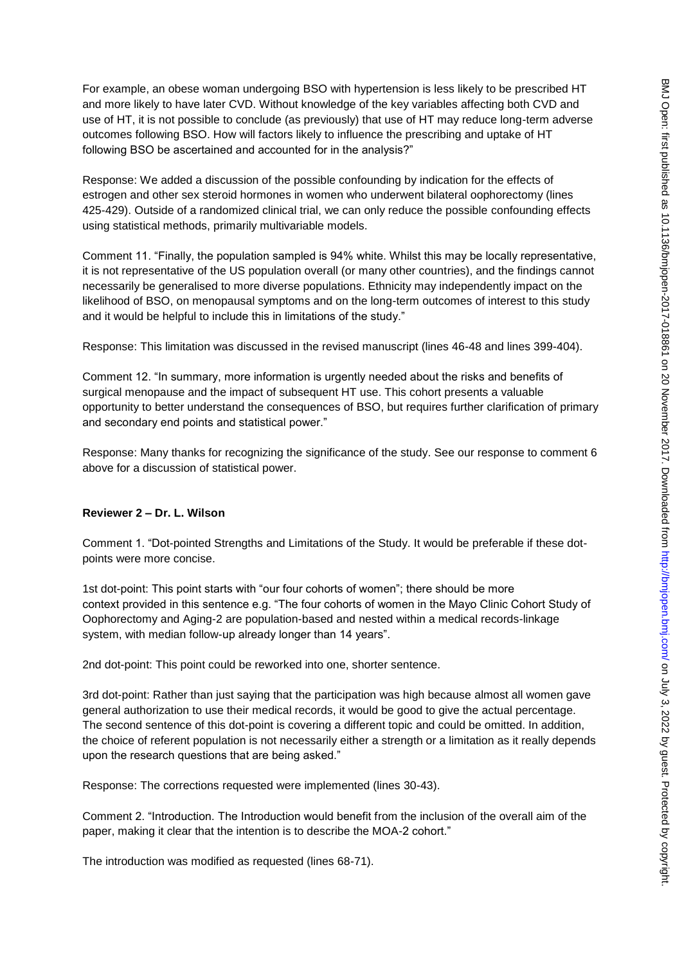For example, an obese woman undergoing BSO with hypertension is less likely to be prescribed HT and more likely to have later CVD. Without knowledge of the key variables affecting both CVD and use of HT, it is not possible to conclude (as previously) that use of HT may reduce long-term adverse outcomes following BSO. How will factors likely to influence the prescribing and uptake of HT following BSO be ascertained and accounted for in the analysis?"

Response: We added a discussion of the possible confounding by indication for the effects of estrogen and other sex steroid hormones in women who underwent bilateral oophorectomy (lines 425-429). Outside of a randomized clinical trial, we can only reduce the possible confounding effects using statistical methods, primarily multivariable models.

Comment 11. "Finally, the population sampled is 94% white. Whilst this may be locally representative, it is not representative of the US population overall (or many other countries), and the findings cannot necessarily be generalised to more diverse populations. Ethnicity may independently impact on the likelihood of BSO, on menopausal symptoms and on the long-term outcomes of interest to this study and it would be helpful to include this in limitations of the study."

Response: This limitation was discussed in the revised manuscript (lines 46-48 and lines 399-404).

Comment 12. "In summary, more information is urgently needed about the risks and benefits of surgical menopause and the impact of subsequent HT use. This cohort presents a valuable opportunity to better understand the consequences of BSO, but requires further clarification of primary and secondary end points and statistical power."

Response: Many thanks for recognizing the significance of the study. See our response to comment 6 above for a discussion of statistical power.

## **Reviewer 2 – Dr. L. Wilson**

Comment 1. "Dot-pointed Strengths and Limitations of the Study. It would be preferable if these dotpoints were more concise.

1st dot-point: This point starts with "our four cohorts of women"; there should be more context provided in this sentence e.g. "The four cohorts of women in the Mayo Clinic Cohort Study of Oophorectomy and Aging-2 are population-based and nested within a medical records-linkage system, with median follow-up already longer than 14 years".

2nd dot-point: This point could be reworked into one, shorter sentence.

3rd dot-point: Rather than just saying that the participation was high because almost all women gave general authorization to use their medical records, it would be good to give the actual percentage. The second sentence of this dot-point is covering a different topic and could be omitted. In addition, the choice of referent population is not necessarily either a strength or a limitation as it really depends upon the research questions that are being asked."

Response: The corrections requested were implemented (lines 30-43).

Comment 2. "Introduction. The Introduction would benefit from the inclusion of the overall aim of the paper, making it clear that the intention is to describe the MOA-2 cohort."

The introduction was modified as requested (lines 68-71).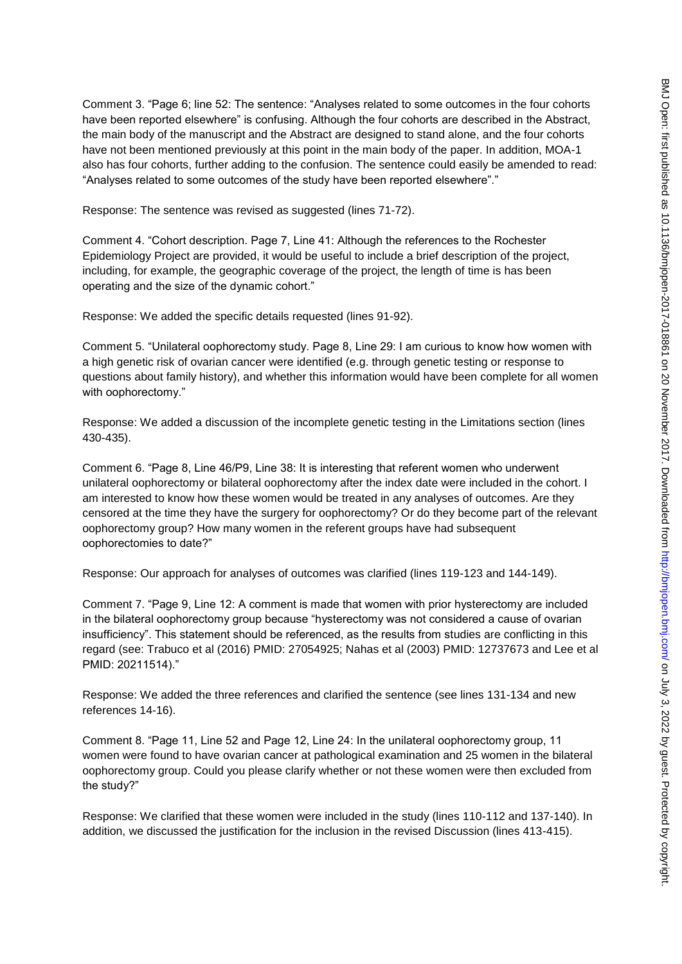Comment 3. "Page 6; line 52: The sentence: "Analyses related to some outcomes in the four cohorts have been reported elsewhere" is confusing. Although the four cohorts are described in the Abstract, the main body of the manuscript and the Abstract are designed to stand alone, and the four cohorts have not been mentioned previously at this point in the main body of the paper. In addition, MOA-1 also has four cohorts, further adding to the confusion. The sentence could easily be amended to read: "Analyses related to some outcomes of the study have been reported elsewhere"."

Response: The sentence was revised as suggested (lines 71-72).

Comment 4. "Cohort description. Page 7, Line 41: Although the references to the Rochester Epidemiology Project are provided, it would be useful to include a brief description of the project, including, for example, the geographic coverage of the project, the length of time is has been operating and the size of the dynamic cohort."

Response: We added the specific details requested (lines 91-92).

Comment 5. "Unilateral oophorectomy study. Page 8, Line 29: I am curious to know how women with a high genetic risk of ovarian cancer were identified (e.g. through genetic testing or response to questions about family history), and whether this information would have been complete for all women with oophorectomy."

Response: We added a discussion of the incomplete genetic testing in the Limitations section (lines 430-435).

Comment 6. "Page 8, Line 46/P9, Line 38: It is interesting that referent women who underwent unilateral oophorectomy or bilateral oophorectomy after the index date were included in the cohort. I am interested to know how these women would be treated in any analyses of outcomes. Are they censored at the time they have the surgery for oophorectomy? Or do they become part of the relevant oophorectomy group? How many women in the referent groups have had subsequent oophorectomies to date?"

Response: Our approach for analyses of outcomes was clarified (lines 119-123 and 144-149).

Comment 7. "Page 9, Line 12: A comment is made that women with prior hysterectomy are included in the bilateral oophorectomy group because "hysterectomy was not considered a cause of ovarian insufficiency". This statement should be referenced, as the results from studies are conflicting in this regard (see: Trabuco et al (2016) PMID: 27054925; Nahas et al (2003) PMID: 12737673 and Lee et al PMID: 20211514)."

Response: We added the three references and clarified the sentence (see lines 131-134 and new references 14-16).

Comment 8. "Page 11, Line 52 and Page 12, Line 24: In the unilateral oophorectomy group, 11 women were found to have ovarian cancer at pathological examination and 25 women in the bilateral oophorectomy group. Could you please clarify whether or not these women were then excluded from the study?"

Response: We clarified that these women were included in the study (lines 110-112 and 137-140). In addition, we discussed the justification for the inclusion in the revised Discussion (lines 413-415).